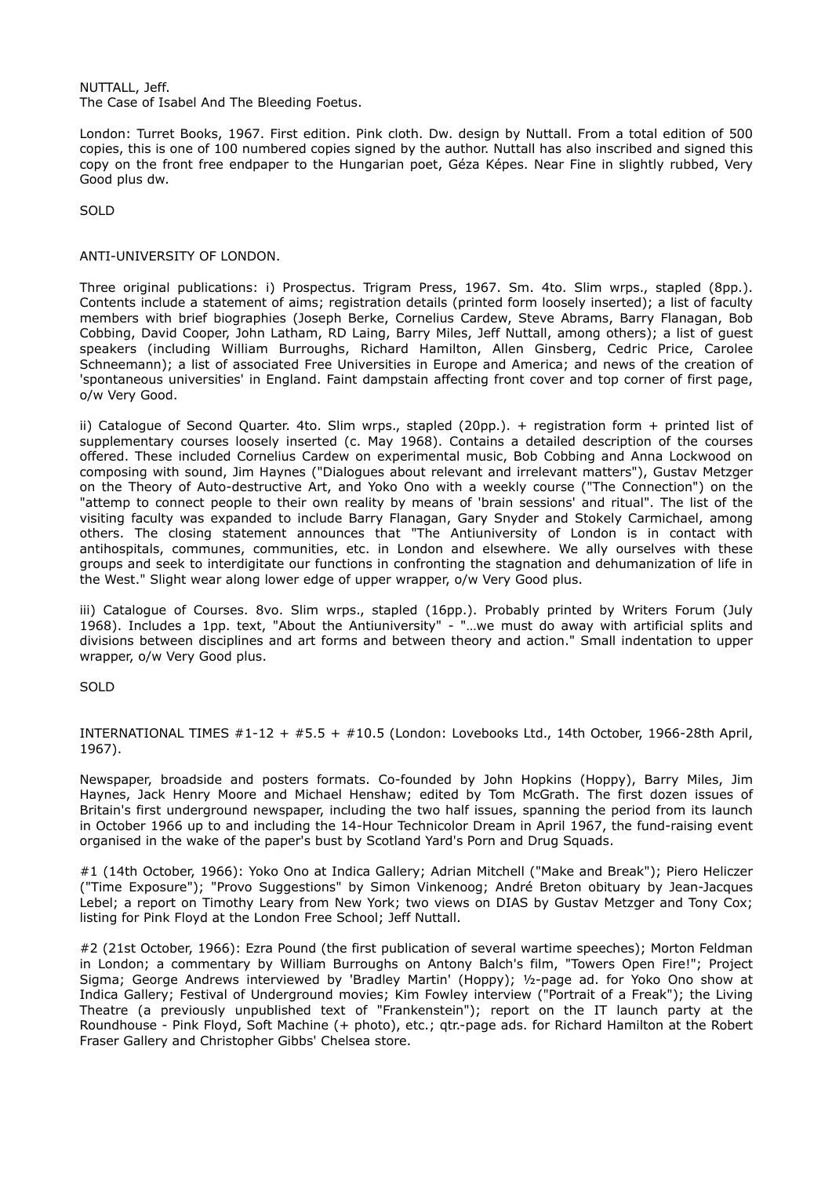NUTTALL, Jeff. The Case of Isabel And The Bleeding Foetus.

London: Turret Books, 1967. First edition. Pink cloth. Dw. design by Nuttall. From a total edition of 500 copies, this is one of 100 numbered copies signed by the author. Nuttall has also inscribed and signed this copy on the front free endpaper to the Hungarian poet, Géza Képes. Near Fine in slightly rubbed, Very Good plus dw.

SOLD

## ANTI-UNIVERSITY OF LONDON.

Three original publications: i) Prospectus. Trigram Press, 1967. Sm. 4to. Slim wrps., stapled (8pp.). Contents include a statement of aims; registration details (printed form loosely inserted); a list of faculty members with brief biographies (Joseph Berke, Cornelius Cardew, Steve Abrams, Barry Flanagan, Bob Cobbing, David Cooper, John Latham, RD Laing, Barry Miles, Jeff Nuttall, among others); a list of guest speakers (including William Burroughs, Richard Hamilton, Allen Ginsberg, Cedric Price, Carolee Schneemann); a list of associated Free Universities in Europe and America; and news of the creation of 'spontaneous universities' in England. Faint dampstain affecting front cover and top corner of first page, o/w Very Good.

ii) Catalogue of Second Quarter. 4to. Slim wrps., stapled (20pp.). + registration form + printed list of supplementary courses loosely inserted (c. May 1968). Contains a detailed description of the courses offered. These included Cornelius Cardew on experimental music, Bob Cobbing and Anna Lockwood on composing with sound, Jim Haynes ("Dialogues about relevant and irrelevant matters"), Gustav Metzger on the Theory of Auto-destructive Art, and Yoko Ono with a weekly course ("The Connection") on the "attemp to connect people to their own reality by means of 'brain sessions' and ritual". The list of the visiting faculty was expanded to include Barry Flanagan, Gary Snyder and Stokely Carmichael, among others. The closing statement announces that "The Antiuniversity of London is in contact with antihospitals, communes, communities, etc. in London and elsewhere. We ally ourselves with these groups and seek to interdigitate our functions in confronting the stagnation and dehumanization of life in the West." Slight wear along lower edge of upper wrapper, o/w Very Good plus.

iii) Catalogue of Courses. 8vo. Slim wrps., stapled (16pp.). Probably printed by Writers Forum (July 1968). Includes a 1pp. text, "About the Antiuniversity" - "…we must do away with artificial splits and divisions between disciplines and art forms and between theory and action." Small indentation to upper wrapper, o/w Very Good plus.

**SOLD** 

INTERNATIONAL TIMES #1-12 + #5.5 + #10.5 (London: Lovebooks Ltd., 14th October, 1966-28th April, 1967).

Newspaper, broadside and posters formats. Co-founded by John Hopkins (Hoppy), Barry Miles, Jim Haynes, Jack Henry Moore and Michael Henshaw; edited by Tom McGrath. The first dozen issues of Britain's first underground newspaper, including the two half issues, spanning the period from its launch in October 1966 up to and including the 14-Hour Technicolor Dream in April 1967, the fund-raising event organised in the wake of the paper's bust by Scotland Yard's Porn and Drug Squads.

#1 (14th October, 1966): Yoko Ono at Indica Gallery; Adrian Mitchell ("Make and Break"); Piero Heliczer ("Time Exposure"); "Provo Suggestions" by Simon Vinkenoog; André Breton obituary by Jean-Jacques Lebel; a report on Timothy Leary from New York; two views on DIAS by Gustav Metzger and Tony Cox; listing for Pink Floyd at the London Free School; Jeff Nuttall.

#2 (21st October, 1966): Ezra Pound (the first publication of several wartime speeches); Morton Feldman in London; a commentary by William Burroughs on Antony Balch's film, "Towers Open Fire!"; Project Sigma; George Andrews interviewed by 'Bradley Martin' (Hoppy); ½-page ad. for Yoko Ono show at Indica Gallery; Festival of Underground movies; Kim Fowley interview ("Portrait of a Freak"); the Living Theatre (a previously unpublished text of "Frankenstein"); report on the IT launch party at the Roundhouse - Pink Floyd, Soft Machine (+ photo), etc.; qtr.-page ads. for Richard Hamilton at the Robert Fraser Gallery and Christopher Gibbs' Chelsea store.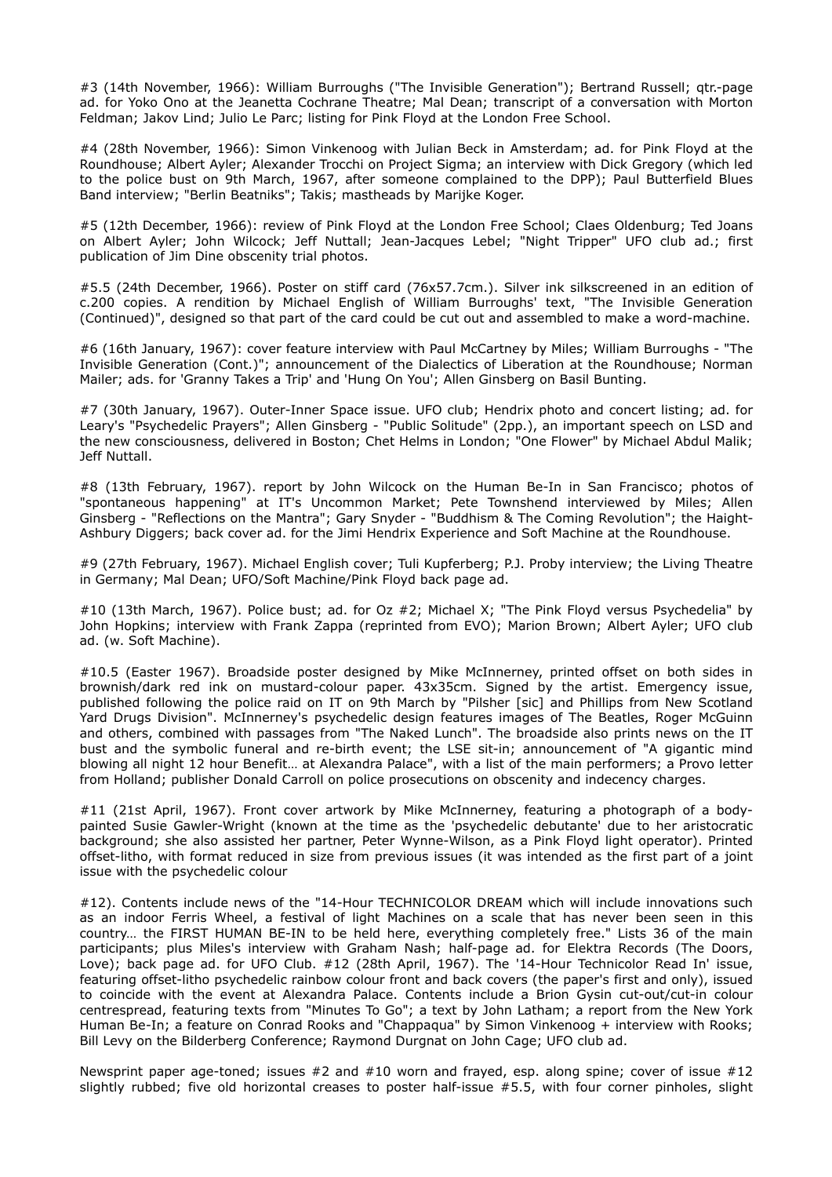#3 (14th November, 1966): William Burroughs ("The Invisible Generation"); Bertrand Russell; qtr.-page ad. for Yoko Ono at the Jeanetta Cochrane Theatre; Mal Dean; transcript of a conversation with Morton Feldman; Jakov Lind; Julio Le Parc; listing for Pink Floyd at the London Free School.

#4 (28th November, 1966): Simon Vinkenoog with Julian Beck in Amsterdam; ad. for Pink Floyd at the Roundhouse; Albert Ayler; Alexander Trocchi on Project Sigma; an interview with Dick Gregory (which led to the police bust on 9th March, 1967, after someone complained to the DPP); Paul Butterfield Blues Band interview; "Berlin Beatniks"; Takis; mastheads by Marijke Koger.

#5 (12th December, 1966): review of Pink Floyd at the London Free School; Claes Oldenburg; Ted Joans on Albert Ayler; John Wilcock; Jeff Nuttall; Jean-Jacques Lebel; "Night Tripper" UFO club ad.; first publication of Jim Dine obscenity trial photos.

#5.5 (24th December, 1966). Poster on stiff card (76x57.7cm.). Silver ink silkscreened in an edition of c.200 copies. A rendition by Michael English of William Burroughs' text, "The Invisible Generation (Continued)", designed so that part of the card could be cut out and assembled to make a word-machine.

#6 (16th January, 1967): cover feature interview with Paul McCartney by Miles; William Burroughs - "The Invisible Generation (Cont.)"; announcement of the Dialectics of Liberation at the Roundhouse; Norman Mailer; ads. for 'Granny Takes a Trip' and 'Hung On You'; Allen Ginsberg on Basil Bunting.

#7 (30th January, 1967). Outer-Inner Space issue. UFO club; Hendrix photo and concert listing; ad. for Leary's "Psychedelic Prayers"; Allen Ginsberg - "Public Solitude" (2pp.), an important speech on LSD and the new consciousness, delivered in Boston; Chet Helms in London; "One Flower" by Michael Abdul Malik; Jeff Nuttall.

#8 (13th February, 1967). report by John Wilcock on the Human Be-In in San Francisco; photos of "spontaneous happening" at IT's Uncommon Market; Pete Townshend interviewed by Miles; Allen Ginsberg - "Reflections on the Mantra"; Gary Snyder - "Buddhism & The Coming Revolution"; the Haight-Ashbury Diggers; back cover ad. for the Jimi Hendrix Experience and Soft Machine at the Roundhouse.

#9 (27th February, 1967). Michael English cover; Tuli Kupferberg; P.J. Proby interview; the Living Theatre in Germany; Mal Dean; UFO/Soft Machine/Pink Floyd back page ad.

#10 (13th March, 1967). Police bust; ad. for Oz #2; Michael X; "The Pink Floyd versus Psychedelia" by John Hopkins; interview with Frank Zappa (reprinted from EVO); Marion Brown; Albert Ayler; UFO club ad. (w. Soft Machine).

#10.5 (Easter 1967). Broadside poster designed by Mike McInnerney, printed offset on both sides in brownish/dark red ink on mustard-colour paper. 43x35cm. Signed by the artist. Emergency issue, published following the police raid on IT on 9th March by "Pilsher [sic] and Phillips from New Scotland Yard Drugs Division". McInnerney's psychedelic design features images of The Beatles, Roger McGuinn and others, combined with passages from "The Naked Lunch". The broadside also prints news on the IT bust and the symbolic funeral and re-birth event; the LSE sit-in; announcement of "A gigantic mind blowing all night 12 hour Benefit… at Alexandra Palace", with a list of the main performers; a Provo letter from Holland; publisher Donald Carroll on police prosecutions on obscenity and indecency charges.

#11 (21st April, 1967). Front cover artwork by Mike McInnerney, featuring a photograph of a bodypainted Susie Gawler-Wright (known at the time as the 'psychedelic debutante' due to her aristocratic background; she also assisted her partner, Peter Wynne-Wilson, as a Pink Floyd light operator). Printed offset-litho, with format reduced in size from previous issues (it was intended as the first part of a joint issue with the psychedelic colour

#12). Contents include news of the "14-Hour TECHNICOLOR DREAM which will include innovations such as an indoor Ferris Wheel, a festival of light Machines on a scale that has never been seen in this country… the FIRST HUMAN BE-IN to be held here, everything completely free." Lists 36 of the main participants; plus Miles's interview with Graham Nash; half-page ad. for Elektra Records (The Doors, Love); back page ad. for UFO Club. #12 (28th April, 1967). The '14-Hour Technicolor Read In' issue, featuring offset-litho psychedelic rainbow colour front and back covers (the paper's first and only), issued to coincide with the event at Alexandra Palace. Contents include a Brion Gysin cut-out/cut-in colour centrespread, featuring texts from "Minutes To Go"; a text by John Latham; a report from the New York Human Be-In; a feature on Conrad Rooks and "Chappaqua" by Simon Vinkenoog + interview with Rooks; Bill Levy on the Bilderberg Conference; Raymond Durgnat on John Cage; UFO club ad.

Newsprint paper age-toned; issues  $#2$  and  $#10$  worn and frayed, esp. along spine; cover of issue  $#12$ slightly rubbed; five old horizontal creases to poster half-issue #5.5, with four corner pinholes, slight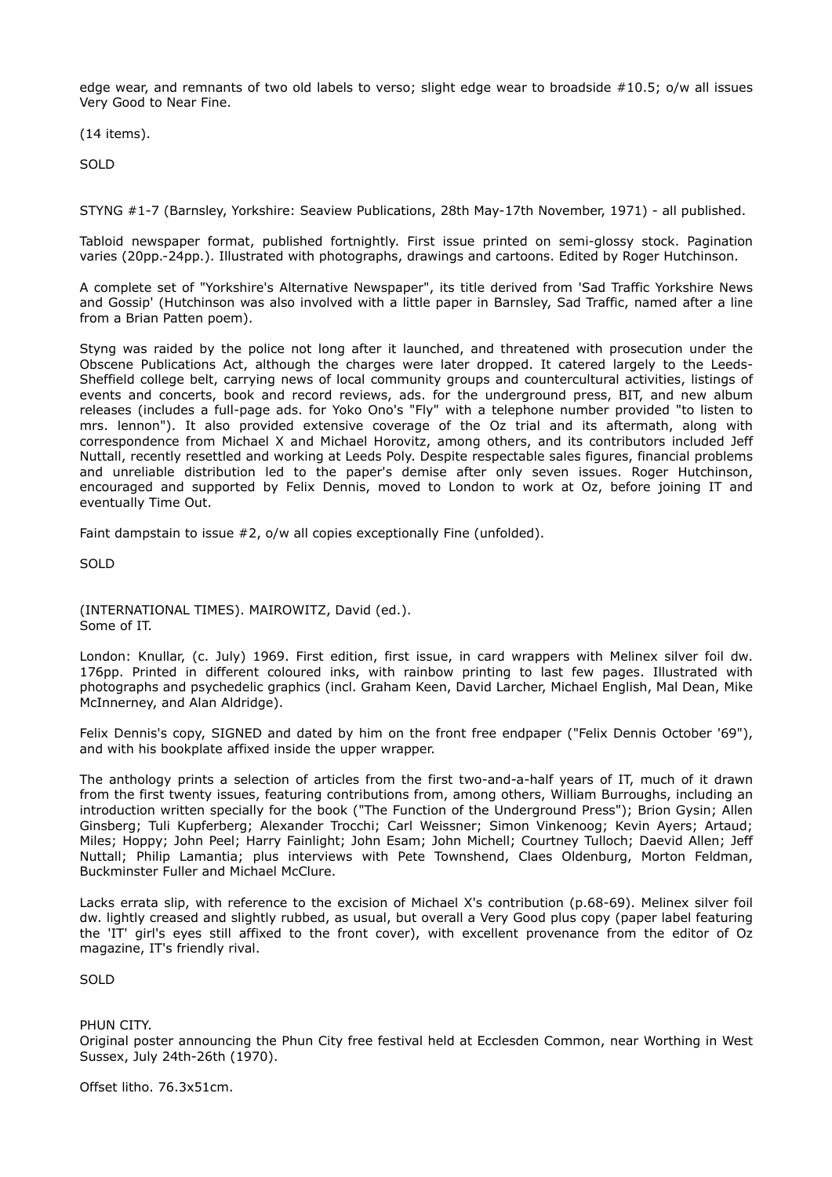edge wear, and remnants of two old labels to verso; slight edge wear to broadside #10.5; o/w all issues Very Good to Near Fine.

(14 items).

SOLD

STYNG #1-7 (Barnsley, Yorkshire: Seaview Publications, 28th May-17th November, 1971) - all published.

Tabloid newspaper format, published fortnightly. First issue printed on semi-glossy stock. Pagination varies (20pp.-24pp.). Illustrated with photographs, drawings and cartoons. Edited by Roger Hutchinson.

A complete set of "Yorkshire's Alternative Newspaper", its title derived from 'Sad Traffic Yorkshire News and Gossip' (Hutchinson was also involved with a little paper in Barnsley, Sad Traffic, named after a line from a Brian Patten poem).

Styng was raided by the police not long after it launched, and threatened with prosecution under the Obscene Publications Act, although the charges were later dropped. It catered largely to the Leeds-Sheffield college belt, carrying news of local community groups and countercultural activities, listings of events and concerts, book and record reviews, ads. for the underground press, BIT, and new album releases (includes a full-page ads. for Yoko Ono's "Fly" with a telephone number provided "to listen to mrs. lennon"). It also provided extensive coverage of the Oz trial and its aftermath, along with correspondence from Michael X and Michael Horovitz, among others, and its contributors included Jeff Nuttall, recently resettled and working at Leeds Poly. Despite respectable sales figures, financial problems and unreliable distribution led to the paper's demise after only seven issues. Roger Hutchinson, encouraged and supported by Felix Dennis, moved to London to work at Oz, before joining IT and eventually Time Out.

Faint dampstain to issue #2, o/w all copies exceptionally Fine (unfolded).

SOLD

(INTERNATIONAL TIMES). MAIROWITZ, David (ed.). Some of IT.

London: Knullar, (c. July) 1969. First edition, first issue, in card wrappers with Melinex silver foil dw. 176pp. Printed in different coloured inks, with rainbow printing to last few pages. Illustrated with photographs and psychedelic graphics (incl. Graham Keen, David Larcher, Michael English, Mal Dean, Mike McInnerney, and Alan Aldridge).

Felix Dennis's copy, SIGNED and dated by him on the front free endpaper ("Felix Dennis October '69"), and with his bookplate affixed inside the upper wrapper.

The anthology prints a selection of articles from the first two-and-a-half years of IT, much of it drawn from the first twenty issues, featuring contributions from, among others, William Burroughs, including an introduction written specially for the book ("The Function of the Underground Press"); Brion Gysin; Allen Ginsberg; Tuli Kupferberg; Alexander Trocchi; Carl Weissner; Simon Vinkenoog; Kevin Ayers; Artaud; Miles; Hoppy; John Peel; Harry Fainlight; John Esam; John Michell; Courtney Tulloch; Daevid Allen; Jeff Nuttall; Philip Lamantia; plus interviews with Pete Townshend, Claes Oldenburg, Morton Feldman, Buckminster Fuller and Michael McClure.

Lacks errata slip, with reference to the excision of Michael X's contribution (p.68-69). Melinex silver foil dw. lightly creased and slightly rubbed, as usual, but overall a Very Good plus copy (paper label featuring the 'IT' girl's eyes still affixed to the front cover), with excellent provenance from the editor of Oz magazine, IT's friendly rival.

SOLD

PHI IN CITY.

Original poster announcing the Phun City free festival held at Ecclesden Common, near Worthing in West Sussex, July 24th-26th (1970).

Offset litho. 76.3x51cm.